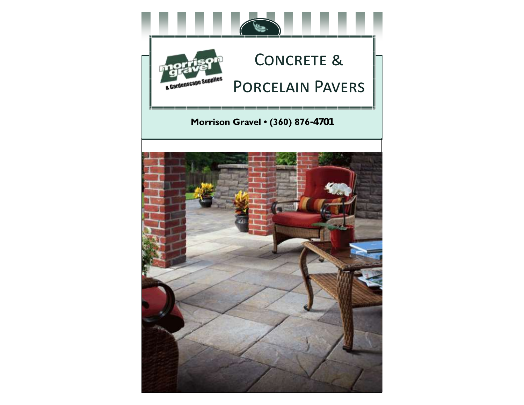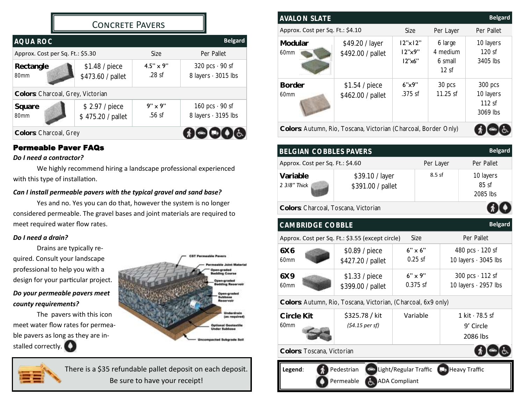## CONCRETE PAVERS

| <b>AQUA ROC</b>                   |                                     |                                | <b>Belgard</b>                               |  |  |  |
|-----------------------------------|-------------------------------------|--------------------------------|----------------------------------------------|--|--|--|
| Approx. Cost per Sq. Ft.: \$5.30  |                                     | Size                           | Per Pallet                                   |  |  |  |
| Rectangle<br>80mm                 | \$1.48 / piece<br>\$473.60 / pallet | $4.5'' \times 9''$<br>$.28$ sf | 320 pcs $\cdot$ 90 sf<br>8 layers · 3015 lbs |  |  |  |
| Colors: Charcoal, Grey, Victorian |                                     |                                |                                              |  |  |  |
| Square<br>80mm                    | \$2.97 / piece<br>\$475.20 / pallet | $9" \times 9"$<br>.56 sf       | 160 pcs $\cdot$ 90 sf<br>8 layers · 3195 lbs |  |  |  |
| Colors: Charcoal, Grey            |                                     |                                |                                              |  |  |  |

## Permeable Paver FAQs

#### *Do I need a contractor?*

We highly recommend hiring a landscape professional experienced with this type of installation.

## *Can I install permeable pavers with the typical gravel and sand base?*

Yes and no. Yes you can do that, however the system is no longer considered permeable. The gravel bases and joint materials are required to meet required water flow rates.

#### *Do I need a drain?*

Drains are typically required. Consult your landscape professional to help you with a design for your particular project. *Do your permeable pavers meet* 

# *county requirements?*

The pavers with this icon meet water flow rates for permeable pavers as long as they are installed correctly.



There is a \$35 refundable pallet deposit on each deposit. Be sure to have your receipt!

| <b>AVALON SLATE</b>              |                                                                 |                                   |                                        | <b>Belgard</b>                            |
|----------------------------------|-----------------------------------------------------------------|-----------------------------------|----------------------------------------|-------------------------------------------|
| Approx. Cost per Sq. Ft.: \$4.10 |                                                                 | Size                              | Per Layer                              | Per Pallet                                |
| Modular<br>60mm                  | \$49.20 / layer<br>\$492.00 / pallet                            | $12"$ x $12"$<br>12"x9"<br>12"x6" | 6 large<br>4 medium<br>6 small<br>12sf | 10 layers<br>120 sf<br>3405 lbs           |
| <b>Border</b><br>60mm            | \$1.54 / piece<br>\$462.00 / pallet                             | 6'x9''<br>$.375$ sf               | 30 pcs<br>$11.25$ sf                   | 300 pcs<br>10 layers<br>112sf<br>3069 lbs |
|                                  | Colors: Autumn, Rio, Toscana, Victorian (Charcoal, Border Only) |                                   |                                        |                                           |

|                                      | <b>Belgard</b><br>BELGIAN COBBLES PAVERS |           |                                  |  |  |  |
|--------------------------------------|------------------------------------------|-----------|----------------------------------|--|--|--|
| Approx. Cost per Sq. Ft.: \$4.60     |                                          | Per Layer | Per Pallet                       |  |  |  |
| Variable<br>2 3/8" Thick             | \$39.10 / layer<br>\$391.00 / pallet     | $8.5$ sf  | 10 layers<br>$85$ sf<br>2085 lbs |  |  |  |
| Colors: Charcoal, Toscana, Victorian |                                          |           |                                  |  |  |  |

| <b>Belgard</b><br><b>CAMBRIDGE COBBLE</b> |                                                               |                                               |                                                       |  |  |  |
|-------------------------------------------|---------------------------------------------------------------|-----------------------------------------------|-------------------------------------------------------|--|--|--|
|                                           | Approx. Cost per Sq. Ft.: \$3.55 (except circle)              | Size                                          | Per Pallet                                            |  |  |  |
| 6X6<br>60mm                               | \$0.89 / piece<br>\$427.20 / pallet                           | $6" \times 6"$<br>$0.25$ sf                   | 480 pcs $\cdot$ 120 sf<br>10 layers $\cdot$ 3045 lbs  |  |  |  |
| 6X9<br>60mm                               | \$1.33 / piece<br>\$399.00 / pallet                           | $6'' \times 9''$<br>$0.375$ sf                | 300 pcs $\cdot$ 112 sf<br>10 layers $\cdot$ 2957 lbs  |  |  |  |
|                                           | Colors: Autumn, Rio, Toscana, Victorian, (Charcoal, 6x9 only) |                                               |                                                       |  |  |  |
| Circle Kit<br>60mm                        | \$325.78 / kit<br>$(54.15$ per sf)                            | Variable                                      | 1 $\text{kit} \cdot 78.5$ sf<br>9' Circle<br>2086 lbs |  |  |  |
| Colors: Toscana, Victorian                |                                                               |                                               |                                                       |  |  |  |
| Legend:                                   | Pedestrian<br>Permeable                                       | Light/Regular Traffic<br><b>ADA Compliant</b> | <b>D</b> Heavy Traffic                                |  |  |  |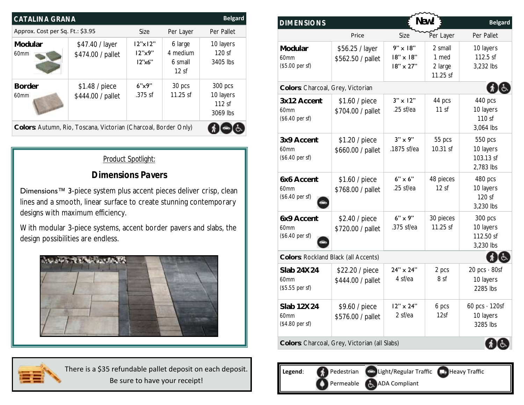| CATALINA GRANA                   |                                                                 |                            |                                        | <b>Belgard</b>                 | <b>DIMENSIONS</b>                      |                                      | New!                                                    |
|----------------------------------|-----------------------------------------------------------------|----------------------------|----------------------------------------|--------------------------------|----------------------------------------|--------------------------------------|---------------------------------------------------------|
| Approx. Cost per Sq. Ft.: \$3.95 |                                                                 | Size                       | Per Layer                              | Per Pallet                     |                                        | Price                                | $\left\langle \right\rangle$<br>Size                    |
| Modular<br>60mm                  | \$47.40 / layer<br>\$474.00 / pallet                            | 2"x 2"<br>12"x9"<br>12"x6" | 6 large<br>4 medium<br>6 small<br>12sf | 10 layers<br>120sf<br>3405 lbs | Modular<br>60mm<br>(\$5.00 per sf)     | \$56.25 / layer<br>\$562.50 / pallet | $9" \times 18"$<br>$18" \times 18"$<br>$18" \times 27"$ |
| <b>Border</b>                    | \$1.48 / piece                                                  | 6"x9"                      | 30 pcs                                 | 300 pcs                        |                                        | Colors: Charcoal, Grey, Victorian    |                                                         |
| 60mm                             | \$444.00 / pallet                                               | $.375$ sf                  | 11.25 sf                               | 10 layers<br>112sf<br>3069 lbs | 3x12 Accent<br>60mm<br>(\$6.40 per sf) | \$1.60 / piece<br>\$704.00 / pallet  | $3'' \times 12''$<br>$.25$ sf/ea                        |
|                                  | Colors: Autumn, Rio, Toscana, Victorian (Charcoal, Border Only) |                            |                                        |                                |                                        |                                      |                                                         |

## *Product Spotlight:*

## *Dimensions Pavers*

Dimensions<sup>™</sup> 3-piece system plus accent pieces deliver crisp, clean lines and a smooth, linear surface to create stunning contemporary designs with maximum efficiency.

With modular 3-piece systems, accent border pavers and slabs, the design possibilities are endless.



There is a \$35 refundable pallet deposit on each deposit. Be sure to have your receipt!

| <b>DIMENSIONS</b>                      |                                               |                                                         | New!                                    | <b>Belgard</b>                                 |
|----------------------------------------|-----------------------------------------------|---------------------------------------------------------|-----------------------------------------|------------------------------------------------|
|                                        | Price                                         | Size                                                    | Per Layer                               | Per Pallet                                     |
| Modular<br>60mm<br>(\$5.00 per sf)     | \$56.25 / layer<br>\$562.50 / pallet          | $9" \times 18"$<br>$18" \times 18"$<br>$18" \times 27"$ | 2 small<br>1 med<br>2 large<br>11.25 sf | 10 layers<br>112.5 sf<br>3,232 lbs             |
| Colors: Charcoal, Grey, Victorian      |                                               |                                                         |                                         |                                                |
| 3x12 Accent<br>60mm<br>(\$6.40 per sf) | \$1.60 / piece<br>\$704.00 / pallet           | $3" \times 12"$<br>$.25$ sf/ea                          | 44 pcs<br>11 sf                         | 440 pcs<br>10 layers<br>110 sf<br>3,064 lbs    |
| 3x9 Accent<br>60mm<br>(\$6.40 per sf)  | \$1.20 / piece<br>\$660.00 / pallet           | $3" \times 9"$<br>.1875 sf/ea                           | 55 pcs<br>10.31 sf                      | 550 pcs<br>10 layers<br>103.13 sf<br>2,783 lbs |
| 6x6 Accent<br>60mm<br>(\$6.40 per sf)  | \$1.60 / piece<br>\$768.00 / pallet           | $6" \times 6"$<br>.25 sf/ea                             | 48 pieces<br>12sf                       | 480 pcs<br>10 layers<br>120 sf<br>3,230 lbs    |
| 6x9 Accent<br>60mm<br>(\$6.40 per sf)  | \$2.40 / piece<br>\$720.00 / pallet           | $6" \times 9"$<br>.375 sf/ea                            | 30 pieces<br>11.25 sf                   | 300 pcs<br>10 layers<br>112.50 sf<br>3,230 lbs |
| Colors: Rockland Black (all Accents)   |                                               |                                                         |                                         |                                                |
| Slab 24X24<br>60mm<br>(\$5.55 per sf)  | \$22.20 / piece<br>\$444.00 / pallet          | $24" \times 24"$<br>4 sf/ea                             | 2 pcs<br>8 sf                           | $20 pcs \cdot 80sf$<br>10 layers<br>2285 lbs   |
| Slab 12X24<br>60mm<br>(\$4.80 per sf)  | \$9.60 / piece<br>\$576.00 / pallet           | $12" \times 24"$<br>2 sf/ea                             | 6 pcs<br>12sf                           | 60 pcs $\cdot$ 120sf<br>10 layers<br>3285 lbs  |
|                                        | Colors: Charcoal, Grey, Victorian (all Slabs) |                                                         |                                         |                                                |

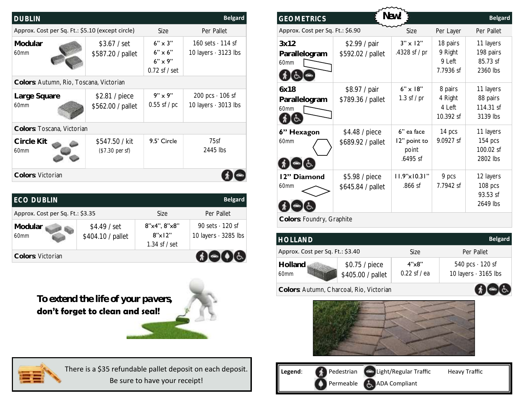| <b>Belgard</b><br><b>DUBLIN</b>                  |                                     |                                                                           |                                                                       |  |  |  |  |
|--------------------------------------------------|-------------------------------------|---------------------------------------------------------------------------|-----------------------------------------------------------------------|--|--|--|--|
| Approx. Cost per Sq. Ft.: \$5.10 (except circle) |                                     | Size                                                                      | Per Pallet                                                            |  |  |  |  |
| Modular<br>60mm                                  | \$3.67 / set<br>\$587.20 / pallet   | $6'' \times 3''$<br>$6" \times 6"$<br>$6'' \times 9''$<br>$0.72$ sf / set | $160 \text{ sets} \cdot 114 \text{ sf}$<br>10 layers $\cdot$ 3123 lbs |  |  |  |  |
| Colors: Autumn, Rio, Toscana, Victorian          |                                     |                                                                           |                                                                       |  |  |  |  |
| Large Square<br>60mm                             | \$2.81 / piece<br>\$562.00 / pallet | $9" \times 9"$<br>$0.55$ sf / pc                                          | 200 pcs $\cdot$ 106 sf<br>10 layers $\cdot$ 3013 lbs                  |  |  |  |  |
| Colors: Toscana, Victorian                       |                                     |                                                                           |                                                                       |  |  |  |  |
| Circle Kit<br>60mm                               | \$547.50 / kit<br>(\$7.30 per sf)   | 9.5' Circle                                                               | 75sf<br>2445 lbs                                                      |  |  |  |  |
| Colors: Victorian                                |                                     |                                                                           |                                                                       |  |  |  |  |

| ECO DUBLIN                       |                                    |                                                    | <b>Belgard</b>                                       |
|----------------------------------|------------------------------------|----------------------------------------------------|------------------------------------------------------|
| Approx. Cost per Sq. Ft.: \$3.35 |                                    | Size                                               | Per Pallet                                           |
| Modular<br>60mm                  | $$4.49$ / set<br>\$404.10 / pallet | 8"x4", 8"x8"<br>$8''$ x $12"$<br>$1.34$ sf $/$ set | 90 sets $\cdot$ 120 sf<br>10 layers $\cdot$ 3285 lbs |
| Colors: Victorian                |                                    |                                                    |                                                      |

**To extend the life of your pavers, don't forget to clean and seal!** 





There is a \$35 refundable pallet deposit on each deposit. Be sure to have your receipt!

| <b>GEOMETRICS</b>                |                                     | New!                                            |                                             | <b>Belgard</b>                                 |
|----------------------------------|-------------------------------------|-------------------------------------------------|---------------------------------------------|------------------------------------------------|
| Approx. Cost per Sq. Ft.: \$6.90 |                                     | Size                                            | Per Layer                                   | Per Pallet                                     |
| 3x12<br>Parallelogram<br>60mm    | \$2.99 / pair<br>\$592.02 / pallet  | $3" \times 12"$<br>.4328 sf / pr                | 18 pairs<br>9 Right<br>9 Left<br>7.7936 sf  | 11 layers<br>198 pairs<br>85.73 sf<br>2360 lbs |
| 6x18<br>Parallelogram<br>60mm    | \$8.97 / pair<br>\$789.36 / pallet  | $6" \times 18"$<br>1.3 sf $/$ pr                | 8 pairs<br>4 Right<br>$4$ left<br>10.392 sf | 11 layers<br>88 pairs<br>114.31 sf<br>3139 lbs |
| 6" Hexagon<br>60mm               | \$4.48 / piece<br>\$689.92 / pallet | 6" ea face<br>12" point to<br>point<br>.6495 sf | 14 pcs<br>9.0927 sf                         | 11 layers<br>154 pcs<br>100.02 sf<br>2802 lbs  |
| 12" Diamond<br>60mm              | \$5.98 / piece<br>\$645.84 / pallet | $11.9" \times 10.31"$<br>.866 sf                | 9 pcs<br>7.7942 sf                          | 12 layers<br>108 pcs<br>93.53 sf<br>2649 lbs   |
| Colors: Foundry, Graphite        |                                     |                                                 |                                             |                                                |

| <b>HOLLAND</b>                           |                                      |                         | <b>Belgard</b>                                       |
|------------------------------------------|--------------------------------------|-------------------------|------------------------------------------------------|
| Approx. Cost per Sq. Ft.: \$3.40         |                                      | Size                    | Per Pallet                                           |
| Holland<br>60mm                          | $$0.75 /$ piece<br>\$405.00 / pallet | 4"x8"<br>$0.22$ sf / ea | 540 pcs $\cdot$ 120 sf<br>10 layers $\cdot$ 3165 lbs |
| Colors: Autumn, Charcoal, Rio, Victorian |                                      |                         |                                                      |



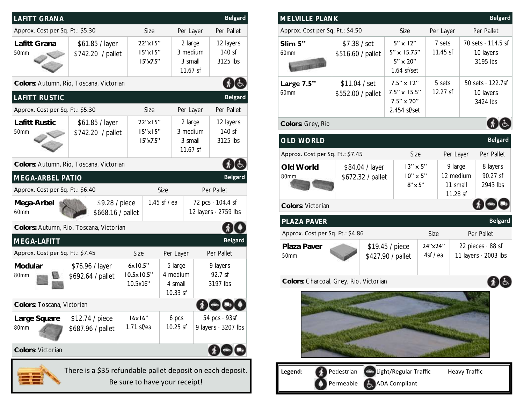| LAFITT GRANA                                                                                |                                         |                                             |                                                                                       |                                            |                                 | <b>Belgard</b>                                  |
|---------------------------------------------------------------------------------------------|-----------------------------------------|---------------------------------------------|---------------------------------------------------------------------------------------|--------------------------------------------|---------------------------------|-------------------------------------------------|
| Approx. Cost per Sq. Ft.: \$5.30                                                            |                                         | Size                                        |                                                                                       | Per Layer                                  |                                 | Per Pallet                                      |
| Lafitt Grana<br>50mm                                                                        | \$61.85 / layer<br>\$742.20 / pallet    |                                             | 22"x15"<br>2 large<br>3 medium<br>$15" \times 15"$<br>15"x7.5"<br>3 small<br>11.67 sf |                                            |                                 | 12 layers<br>140 sf<br>3125 lbs                 |
|                                                                                             | Colors: Autumn, Rio, Toscana, Victorian |                                             |                                                                                       |                                            |                                 |                                                 |
| LAFITT RUSTIC                                                                               |                                         |                                             |                                                                                       |                                            |                                 | <b>Belgard</b>                                  |
| Approx. Cost per Sq. Ft.: \$5.30                                                            |                                         | Size                                        |                                                                                       | Per Layer                                  |                                 | Per Pallet                                      |
| Lafitt Rustic<br>50mm                                                                       | \$61.85 / layer<br>\$742.20 / pallet    |                                             | 22"x15"<br>2 large<br>3 medium<br>$15" \times 15"$<br>15"x7.5"<br>3 small<br>11.67 sf |                                            |                                 | 12 layers<br>140 sf<br>3125 lbs                 |
|                                                                                             | Colors: Autumn, Rio, Toscana, Victorian |                                             |                                                                                       |                                            |                                 |                                                 |
| MEGA-ARBEL PATIO                                                                            |                                         |                                             |                                                                                       |                                            |                                 | <b>Belgard</b>                                  |
| Approx. Cost per Sq. Ft.: \$6.40                                                            |                                         |                                             | Size                                                                                  |                                            |                                 | Per Pallet                                      |
| Mega-Arbel<br>60mm                                                                          | \$9.28 / piece<br>\$668.16 / pallet     |                                             | 1.45 sf $/$ ea                                                                        |                                            |                                 | 72 pcs · 104.4 sf<br>12 layers $\cdot$ 2759 lbs |
|                                                                                             | Colors: Autumn, Rio, Toscana, Victorian |                                             |                                                                                       |                                            |                                 |                                                 |
| MEGA-LAFITT                                                                                 |                                         |                                             |                                                                                       |                                            |                                 | <b>Belgard</b>                                  |
| Approx. Cost per Sq. Ft.: \$7.45                                                            |                                         | Size                                        |                                                                                       | Per Layer                                  |                                 | Per Pallet                                      |
| Modular<br>80mm                                                                             | \$76.96 / layer<br>\$692.64 / pallet    | 6x10.5"<br>$10.5 \times 10.5$ "<br>10.5x16" |                                                                                       | 5 large<br>4 medium<br>4 small<br>10.33 sf | 9 layers<br>92.7 sf<br>3197 lbs |                                                 |
| Colors: Toscana, Victorian                                                                  |                                         |                                             |                                                                                       |                                            |                                 |                                                 |
| Large Square<br>80mm                                                                        | \$12.74 / piece<br>\$687.96 / pallet    | 16x16"<br>1.71 sf/ea                        |                                                                                       | 6 pcs<br>$10.25$ sf                        |                                 | $54$ pcs $\cdot$ 93sf<br>9 layers · 3207 lbs    |
| Colors: Victorian                                                                           |                                         |                                             |                                                                                       |                                            |                                 |                                                 |
| There is a \$35 refundable pallet deposit on each deposit.<br>Be sure to have your receipt! |                                         |                                             |                                                                                       |                                            |                                 |                                                 |

| MELVILLE PLANK                         |                                    |                                                                                              |                                                                                                       |  |                                              |           |                                                  | <b>Belgard</b>                                        |
|----------------------------------------|------------------------------------|----------------------------------------------------------------------------------------------|-------------------------------------------------------------------------------------------------------|--|----------------------------------------------|-----------|--------------------------------------------------|-------------------------------------------------------|
| Approx. Cost per Sq. Ft.: \$4.50       |                                    |                                                                                              | Size                                                                                                  |  | Per Layer                                    |           |                                                  | Per Pallet                                            |
| Slim 5"<br>60mm                        | \$7.38 / set<br>\$516.60 / pallet  |                                                                                              | $5" \times 12"$<br>7 sets<br>5" x 15.75"<br>11.45 sf<br>$5" \times 20"$<br>1.64 sf/set                |  |                                              |           |                                                  | 70 sets · 114.5 sf<br>10 layers<br>3195 lbs           |
| Large 7.5"<br>60mm                     | \$11.04 / set<br>\$552.00 / pallet |                                                                                              | $7.5" \times 12"$<br>5 sets<br>$7.5" \times 15.5"$<br>12.27 sf<br>$7.5'' \times 20''$<br>2.454 sf/set |  |                                              |           | 50 sets $\cdot$ 122.7sf<br>10 layers<br>3424 lbs |                                                       |
| Colors: Grey, Rio                      |                                    |                                                                                              |                                                                                                       |  |                                              |           |                                                  |                                                       |
| OLD WORLD                              |                                    |                                                                                              |                                                                                                       |  |                                              |           |                                                  | <b>Belgard</b>                                        |
| Approx. Cost per Sq. Ft.: \$7.45       |                                    |                                                                                              | Size                                                                                                  |  |                                              | Per Layer |                                                  | Per Pallet                                            |
| Old World<br>80mm                      |                                    | $13" \times 5"$<br>\$84.04 / layer<br>$10" \times 5"$<br>\$672.32 / pallet<br>$8" \times 5"$ |                                                                                                       |  | 9 large<br>12 medium<br>11 small<br>11.28 sf |           |                                                  | 8 layers<br>90.27 sf<br>2943 lbs                      |
| Colors: Victorian                      |                                    |                                                                                              |                                                                                                       |  |                                              |           |                                                  |                                                       |
| PLAZA PAVER                            |                                    |                                                                                              |                                                                                                       |  |                                              |           |                                                  | <b>Belgard</b>                                        |
| Approx. Cost per Sq. Ft.: \$4.86       |                                    |                                                                                              |                                                                                                       |  | Size                                         |           |                                                  | Per Pallet                                            |
| Plaza Paver<br>50mm                    |                                    |                                                                                              | \$19.45 / piece<br>\$427.90 / pallet                                                                  |  | 24"x24"<br>4sf/ea                            |           |                                                  | 22 pieces $\cdot$ 88 sf<br>11 layers $\cdot$ 2003 lbs |
| Colors: Charcoal, Grey, Rio, Victorian |                                    |                                                                                              |                                                                                                       |  |                                              |           |                                                  |                                                       |
|                                        |                                    |                                                                                              |                                                                                                       |  |                                              |           |                                                  |                                                       |

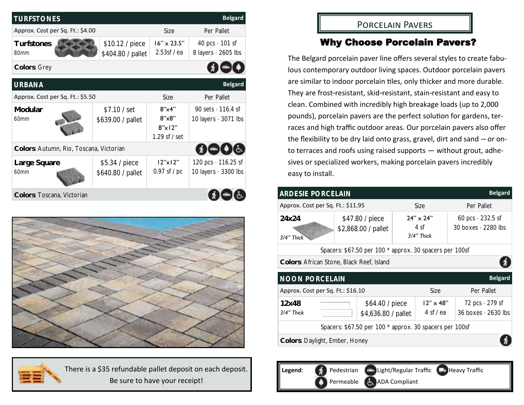| <b>Belgard</b><br><b>TURFSTONES</b>     |                                      |                                                              |                                                         |  |  |  |
|-----------------------------------------|--------------------------------------|--------------------------------------------------------------|---------------------------------------------------------|--|--|--|
| Approx. Cost per Sq. Ft.: \$4.00        |                                      | Size                                                         | Per Pallet                                              |  |  |  |
| Turfstones<br>80mm                      | \$10.12 / piece<br>\$404.80 / pallet | $16" \times 23.5"$<br>2.53sf /ea                             | 40 pcs $\cdot$ 101 sf<br>8 layers · 2605 lbs            |  |  |  |
| Colors: Grey                            |                                      |                                                              |                                                         |  |  |  |
| <b>URBANA</b>                           |                                      |                                                              | <b>Belgard</b>                                          |  |  |  |
| Approx. Cost per Sq. Ft.: \$5.50        |                                      | Size                                                         | Per Pallet                                              |  |  |  |
| Modular<br>60mm                         | \$7.10 / set<br>\$639.00 / pallet    | $8'$ x4"<br>$8''$ $\times$ $8"$<br>8"x12"<br>1.29 sf $/$ set | 90 sets $\cdot$ 116.4 sf<br>10 layers $\cdot$ 3071 lbs  |  |  |  |
| Colors: Autumn, Rio, Toscana, Victorian |                                      |                                                              | $\blacksquare$                                          |  |  |  |
| Large Square<br>60mm                    | \$5.34 / piece<br>\$640.80 / pallet  | $12"$ x $12"$<br>$0.97$ sf / pc                              | 120 pcs $\cdot$ 116.25 sf<br>10 layers $\cdot$ 3300 lbs |  |  |  |
| Colors: Toscana, Victorian              |                                      |                                                              |                                                         |  |  |  |



There is a \$35 refundable pallet deposit on each deposit. Be sure to have your receipt!

## Porcelain Pavers

## Why Choose Porcelain Pavers?

The Belgard porcelain paver line offers several styles to create fabulous contemporary outdoor living spaces. Outdoor porcelain pavers are similar to indoor porcelain tiles, only thicker and more durable. They are frost-resistant, skid-resistant, stain-resistant and easy to clean. Combined with incredibly high breakage loads (up to 2,000 pounds), porcelain pavers are the perfect solution for gardens, terraces and high traffic outdoor areas. Our porcelain pavers also offer the flexibility to be dry laid onto grass, gravel, dirt and sand -- or onto terraces and roofs using raised supports — without grout, adhesives or specialized workers, making porcelain pavers incredibly easy to install.

| <b>ARDESIE PORCELAIN</b>                                |  |                                        |                                        |                                 | <b>Belgard</b>                                       |
|---------------------------------------------------------|--|----------------------------------------|----------------------------------------|---------------------------------|------------------------------------------------------|
| Approx. Cost per Sq. Ft.: \$11.95                       |  |                                        |                                        | Size                            | Per Pallet                                           |
| 24x24<br>3/4" Thick                                     |  | \$47.80 / piece<br>\$2,868.00 / pallet | $24" \times 24"$<br>4 sf<br>3/4" Thick |                                 | 60 pcs $\cdot$ 232.5 sf<br>30 boxes $\cdot$ 2280 lbs |
| Spacers: \$67.50 per 100 * approx. 30 spacers per 100sf |  |                                        |                                        |                                 |                                                      |
| Colors: African Stone, Black Reef, Island               |  |                                        |                                        |                                 |                                                      |
| <b>NOON PORCELAIN</b>                                   |  |                                        |                                        |                                 | <b>Belgard</b>                                       |
| Approx. Cost per Sq. Ft.: \$16.10                       |  |                                        |                                        | Size                            | Per Pallet                                           |
| 12x48<br>3/4" Thick                                     |  | \$64.40 / piece<br>\$4,636.80 / pallet |                                        | $12" \times 48"$<br>4 sf $/$ ea | 72 pcs $\cdot$ 279 sf<br>36 boxes $\cdot$ 2630 lbs   |
| Spacers: \$67.50 per 100 * approx. 30 spacers per 100sf |  |                                        |                                        |                                 |                                                      |
| Colors: Daylight, Ember, Honey                          |  |                                        |                                        |                                 |                                                      |

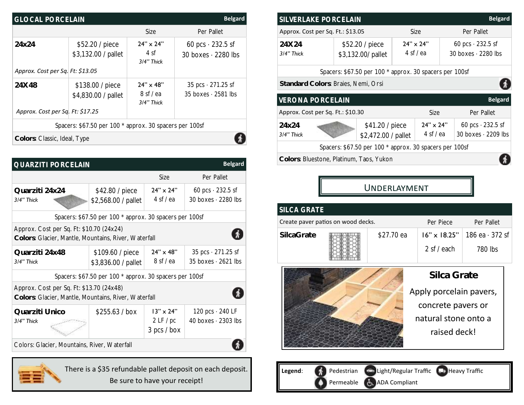| <b>Belgard</b><br><b>GLOCAL PORCELAIN</b>               |                                         |                                           |                                                         |  |  |  |
|---------------------------------------------------------|-----------------------------------------|-------------------------------------------|---------------------------------------------------------|--|--|--|
|                                                         |                                         | Size                                      | Per Pallet                                              |  |  |  |
| 24x24                                                   | \$52.20 / piece<br>\$3,132.00 / pallet  | $24" \times 24"$<br>4 sf<br>3/4" Thick    | 60 pcs $\cdot$ 232.5 sf<br>30 boxes $\cdot$ 2280 lbs    |  |  |  |
| Approx. Cost per Sq. Ft: \$13.05                        |                                         |                                           |                                                         |  |  |  |
| 24X48                                                   | \$138.00 / piece<br>\$4,830.00 / pallet | $24" \times 48"$<br>8 sf/ea<br>3/4" Thick | 35 pcs $\cdot$ 271.25 sf<br>$35$ boxes $\cdot$ 2581 lbs |  |  |  |
| Approx. Cost per Sq. Ft: \$17.25                        |                                         |                                           |                                                         |  |  |  |
| Spacers: \$67.50 per 100 * approx. 30 spacers per 100sf |                                         |                                           |                                                         |  |  |  |
| Colors: Classic, Ideal, Type                            |                                         |                                           |                                                         |  |  |  |

| <b>Belgard</b><br>QUARZITI PORCELAIN                                                             |                                                         |                                              |                                                         |  |  |
|--------------------------------------------------------------------------------------------------|---------------------------------------------------------|----------------------------------------------|---------------------------------------------------------|--|--|
|                                                                                                  |                                                         | Size                                         | Per Pallet                                              |  |  |
| Quarziti 24x24<br>3/4" Thick                                                                     | \$42.80 / piece<br>\$2,568.00 / pallet                  | $24" \times 24"$<br>$4 \text{ sf}/\text{ea}$ | 60 pcs $\cdot$ 232.5 sf<br>30 boxes $\cdot$ 2280 lbs    |  |  |
|                                                                                                  | Spacers: \$67.50 per 100 * approx. 30 spacers per 100sf |                                              |                                                         |  |  |
| Approx. Cost per Sq. Ft: \$10.70 (24x24)<br>Colors: Glacier, Mantle, Mountains, River, Waterfall |                                                         |                                              |                                                         |  |  |
| Quarziti 24x48<br>3/4" Thick                                                                     | \$109.60 / piece<br>\$3,836.00 / pallet                 | $24" \times 48"$<br>8 sf/ea                  | 35 pcs $\cdot$ 271.25 sf<br>$35$ boxes $\cdot$ 2621 lbs |  |  |
|                                                                                                  | Spacers: \$67.50 per 100 * approx. 30 spacers per 100sf |                                              |                                                         |  |  |
| Approx. Cost per Sq. Ft: \$13.70 (24x48)<br>Colors: Glacier, Mantle, Mountains, River, Waterfall |                                                         |                                              |                                                         |  |  |
| Quarziti Unico<br>3/4" Thick                                                                     | \$255.63 / box                                          | $13" \times 24"$<br>2LF/pc<br>3 pcs / box    | 120 pcs $\cdot$ 240 LF<br>40 boxes $\cdot$ 2303 lbs     |  |  |
| Colors: Glacier, Mountains, River, Waterfall                                                     |                                                         |                                              |                                                         |  |  |



There is a \$35 refundable pallet deposit on each deposit. Be sure to have your receipt!

| <b>Belgard</b><br>SILVERLAKE PORCELAIN                        |  |                                                                        |                                 |      |                                                      |                |
|---------------------------------------------------------------|--|------------------------------------------------------------------------|---------------------------------|------|------------------------------------------------------|----------------|
| Approx. Cost per Sq. Ft.: \$13.05                             |  |                                                                        | Size                            |      | Per Pallet                                           |                |
| 24 X 24<br>3/4" Thick                                         |  | $24" \times 24"$<br>\$52.20 / piece<br>4 sf / ea<br>\$3,132.00/ pallet |                                 |      | 60 pcs $\cdot$ 232.5 sf<br>30 boxes $\cdot$ 2280 lbs |                |
| Spacers: \$67.50 per 100 * approx. 30 spacers per 100sf       |  |                                                                        |                                 |      |                                                      |                |
| Standard Colors: Braies, Nemi, Orsi                           |  |                                                                        |                                 |      |                                                      |                |
| <b>VERONA PORCELAIN</b>                                       |  |                                                                        |                                 |      |                                                      | <b>Belgard</b> |
| Approx. Cost per Sq. Ft.: \$10.30                             |  |                                                                        |                                 | Size |                                                      | Per Pallet     |
| 24x24<br>\$41.20 / piece<br>3/4" Thick<br>\$2,472.00 / pallet |  |                                                                        | $24" \times 24"$<br>4 sf $/$ ea |      | 60 pcs $\cdot$ 232.5 sf<br>30 boxes $\cdot$ 2209 lbs |                |
| Spacers: \$67.50 per 100 * approx. 30 spacers per 100sf       |  |                                                                        |                                 |      |                                                      |                |
| Colors: Bluestone, Platinum, Taos, Yukon                      |  |                                                                        |                                 |      |                                                      |                |

Underlayment

| <b>SILCA GRATE</b> |                                    |            |                                        |                  |  |  |
|--------------------|------------------------------------|------------|----------------------------------------|------------------|--|--|
|                    | Create paver patios on wood decks. |            | Per Piece                              | Per Pallet       |  |  |
| SilcaGrate         |                                    | \$27.70 ea | $16'' \times 18.25''$                  | 186 $ea - 372sf$ |  |  |
|                    |                                    |            | 2 sf / each                            | 780 lbs          |  |  |
|                    |                                    |            | Silca Grate<br>Apply porcelain pavers, |                  |  |  |
|                    |                                    |            |                                        |                  |  |  |
|                    |                                    |            | natural stone onto a                   |                  |  |  |
|                    |                                    |            | raised deck!                           |                  |  |  |
|                    |                                    |            |                                        |                  |  |  |

Legend: **Conserversion** Light/Regular Traffic Heavy Traffic Permeable **ADA** Compliant Ω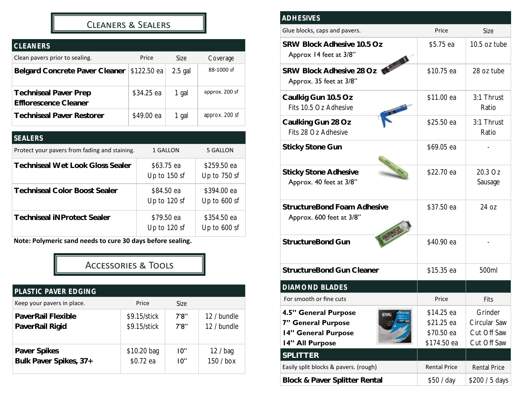## Cleaners & Sealers

| <b>CLEANERS</b>                                       |             |           |                |
|-------------------------------------------------------|-------------|-----------|----------------|
| Clean pavers prior to sealing.                        | Price       | Size      | Coverage       |
| Belgard Concrete Paver Cleaner                        | \$122.50 ea | $2.5$ gal | 88-1000 sf     |
| <b>Techniseal Paver Prep</b><br>Efflorescence Cleaner | \$34.25 ea  | 1 gal     | approx. 200 sf |
| <b>Techniseal Paver Restorer</b>                      | \$49.00 ea  | 1 gal     | approx. 200 sf |

| <b>SEALERS</b>                                |                            |                               |
|-----------------------------------------------|----------------------------|-------------------------------|
| Protect your pavers from fading and staining. | 1 GALLON                   | 5 GALLON                      |
| <b>Techniseal Wet Look Gloss Sealer</b>       | \$63.75 ea<br>Up to 150 sf | \$259.50 ea<br>Up to 750 sf   |
| <b>Techniseal Color Boost Sealer</b>          | \$84.50 ea<br>Up to 120 sf | \$394.00 ea<br>Up to 600 sf   |
| <b>Techniseal iNProtect Sealer</b>            | \$79.50 ea<br>Up to 120 sf | \$354.50 ea<br>Up to $600$ sf |

**Note: Polymeric sand needs to cure 30 days before sealing.** 

## Accessories & Tools

| PLASTIC PAVER EDGING       |              |       |             |
|----------------------------|--------------|-------|-------------|
| Keep your pavers in place. | Price        | Size  |             |
| PaverRail Flexible         | \$9.15/stick | 7'8'' | 12 / bundle |
| PaverRail Rigid            | \$9.15/stick | 7'8'' | 12 / bundle |
| Paver Spikes               | \$10.20 bag  | 10"   | 12 / baq    |
| Bulk Paver Spikes, 37+     | \$0.72 ea    | 10"   | 150 / box   |

| <b>ADHESIVES</b>                                                                                         |                                                       |                                                       |
|----------------------------------------------------------------------------------------------------------|-------------------------------------------------------|-------------------------------------------------------|
| Glue blocks, caps and pavers.                                                                            | Price                                                 | <b>Size</b>                                           |
| SRW Block Adhesive 10.5 Oz<br>Approx 14 feet at 3/8"                                                     | \$5.75 ea                                             | 10.5 oz tube                                          |
| SRW Block Adhesive 28 Oz<br>Approx. 35 feet at 3/8"                                                      | \$10.75 ea                                            | 28 oz tube                                            |
| Caulkig Gun 10.5 Oz<br>Fits 10.5 Oz Adhesive                                                             | \$11.00 ea                                            | 3:1 Thrust<br>Ratio                                   |
| Caulking Gun 28 Oz<br>Fits 28 Oz Adhesive                                                                | \$25.50 ea                                            | 3:1 Thrust<br>Ratio                                   |
| <b>Sticky Stone Gun</b>                                                                                  | \$69.05 ea                                            |                                                       |
| <b>Sticky Stone Adhesive</b><br>Approx. 40 feet at 3/8"                                                  | \$22.70 ea                                            | 20.3 Oz<br>Sausage                                    |
| StructureBond Foam Adhesive<br>Approx. 600 feet at 3/8"                                                  | \$37.50 ea                                            | 24 oz                                                 |
| StructureBond Gun                                                                                        | \$40.90 ea                                            |                                                       |
| StructureBond Gun Cleaner                                                                                | \$15.35 ea                                            | 500ml                                                 |
| DIAMOND BLADES                                                                                           |                                                       |                                                       |
| For smooth or fine cuts                                                                                  | Price                                                 | Fits                                                  |
| 4.5" General Purpose<br>SRW <sub>3</sub><br>7" General Purpose<br>14" General Purpose<br>14" All Purpose | \$14.25 ea<br>\$21.25 ea<br>\$70.50 ea<br>\$174.50 ea | Grinder<br>Circular Saw<br>Cut Off Saw<br>Cut Off Saw |
| SPLITTER                                                                                                 |                                                       |                                                       |
| Easily split blocks & pavers. (rough)                                                                    | <b>Rental Price</b>                                   | Rental Price                                          |
| Block & Paver Splitter Rental                                                                            | \$50 / day                                            | \$200 / 5 days                                        |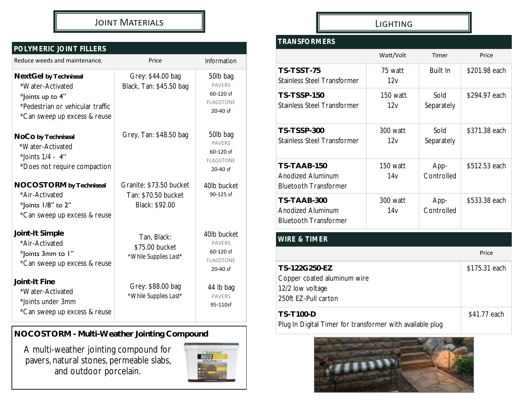## JOINT MATERIALS **And All Account MATERIALS LIGHTING**

## *POLYMERIC JOINT FILLERS*

| Reduce weeds and maintenance.                                                                                                     | Price                                                            | Information                                                                 |
|-----------------------------------------------------------------------------------------------------------------------------------|------------------------------------------------------------------|-----------------------------------------------------------------------------|
| NextGel by Techniseal<br>*Water-Activated<br>*Joints up to 4"<br>*Pedestrian or vehicular traffic<br>*Can sweep up excess & reuse | Grey: \$44.00 bag<br>Black, Tan: \$45.50 bag                     | 50lb bag<br><b>PAVERS</b><br>60-120 sf<br><b>FLAGSTONE</b><br>$20 - 40$ sf  |
| NoCo by Techniseal<br>*Water-Activated<br>*Joints $1/4 - 4$ "<br>*Does not require compaction                                     | Grey, Tan: \$48.50 bag                                           | 50lb bag<br><b>PAVERS</b><br>60-120 sf<br><b>FLAGSTONE</b><br>20-40 sf      |
| NOCOSTORM by Techniseal<br>*Air-Activated<br>*Joints 1/8" to 2"<br>*Can sweep up excess & reuse                                   | Granite: \$73.50 bucket<br>Tan: \$70.50 bucket<br>Black: \$92.00 | 40lb bucket<br>90-125 sf                                                    |
| Joint-It Simple<br>*Air-Activated<br>*Joints 3mm to 1"<br>*Can sweep up excess & reuse                                            | Tan, Black:<br>\$75.00 bucket<br>*While Supplies Last*           | 40lb bucket<br><b>PAVERS</b><br>60-120 sf<br><b>FLAGSTONE</b><br>$20-40$ sf |
| Joint-It Fine<br>*Water-Activated<br>*Joints under 3mm<br>*Can sweep up excess & reuse                                            | Grey: \$88.00 bag<br>*While Supplies Last*                       | 44 lb bag<br><b>PAVERS</b><br>95-110sf                                      |

**NOCOSTORM - Multi-Weather Jointing Compound**

A multi-weather jointing compound for pavers, natural stones, permeable slabs, and outdoor porcelain.



## *TRANSFORMERS*

|                                                                  | Watt/Volt       | Timer              | Price         |
|------------------------------------------------------------------|-----------------|--------------------|---------------|
| TS-TSST-75<br>Stainless Steel Transformer                        | 75 watt<br>12v  | Built In           | \$201.98 each |
| <b>TS-TSSP-150</b><br>Stainless Steel Transformer                | 150 watt<br>12v | Sold<br>Separately | \$294.97 each |
| TS-TSSP-300<br>Stainless Steel Transformer                       | 300 watt<br>12v | Sold<br>Separately | \$371.38 each |
| TS-TAAB-150<br>Anodized Aluminum<br><b>Bluetooth Transformer</b> | 150 watt<br>14v | App-<br>Controlled | \$512.53 each |
| TS-TAAB-300<br>Anodized Aluminum<br><b>Bluetooth Transformer</b> | 300 watt<br>14v | App-<br>Controlled | \$533.38 each |
| WIRE & TIMER                                                     |                 |                    |               |

## Price **TS-122G250-EZ** \$175.31 each Copper coated aluminum wire 12/2 low voltage 250ft EZ-Pull carton **TS-T100-D** Plug In Digital Timer for transformer with available plug \$41.77 each

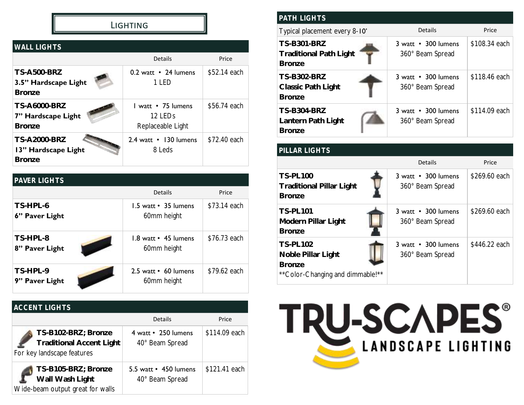## **LIGHTING**

| <b>WALL LIGHTS</b>                                          |                                                                |              |
|-------------------------------------------------------------|----------------------------------------------------------------|--------------|
|                                                             | Details                                                        | Price        |
| <b>TS-A500-BRZ</b><br>3.5" Hardscape Light<br><b>Bronze</b> | 0.2 watt • 24 lumens<br>1 LED                                  | \$52.14 each |
| <b>TS-A6000-BRZ</b><br>7" Hardscape Light<br><b>Bronze</b>  | L watt • 75 lumens<br>12 LED <sub>s</sub><br>Replaceable Light | \$56.74 each |
| <b>TS-A2000-BRZ</b><br>13" Hardscape Light<br><b>Bronze</b> | 2.4 watt • 130 lumens<br>8 Leds                                | \$72.40 each |

| <b>PAVER LIGHTS</b>        |                                             |              |
|----------------------------|---------------------------------------------|--------------|
|                            | Details                                     | Price        |
| TS-HPL-6<br>6" Paver Light | 1.5 watt • 35 lumens<br>60mm height         | \$73.14 each |
| TS-HPL-8<br>8" Paver Light | $1.8$ watt $\cdot$ 45 lumens<br>60mm height | \$76.73 each |
| TS-HPL-9<br>9" Paver Light | 2.5 watt • 60 lumens<br>60mm height         | \$79.62 each |

## *ACCENT LIGHTS*

|                                                                                      | <b>Details</b>                                 | Price         |
|--------------------------------------------------------------------------------------|------------------------------------------------|---------------|
| TS-B102-BRZ; Bronze<br><b>Traditional Accent Light</b><br>For key landscape features | 4 watt • 250 lumens<br>40° Beam Spread         | \$114.09 each |
| TS-B105-BRZ; Bronze<br>Wall Wash Light<br>Wide-beam output great for walls           | 5.5 watt $\cdot$ 450 lumens<br>40° Beam Spread | \$121.41 each |

| <b>PATH LIGHTS</b>                                                   |                                         |               |
|----------------------------------------------------------------------|-----------------------------------------|---------------|
| Typical placement every 8-10'                                        | <b>Details</b>                          | Price         |
| <b>TS-B301-BRZ</b><br><b>Traditional Path Light</b><br><b>Bronze</b> | 3 watt • 300 lumens<br>360° Beam Spread | \$108.34 each |
| TS-B302-BRZ<br>Classic Path Light<br><b>Bronze</b>                   | 3 watt • 300 lumens<br>360° Beam Spread | \$118.46 each |
| <b>TS-B304-BRZ</b><br>Lantern Path Light<br><b>Bronze</b>            | 3 watt • 300 lumens<br>360° Beam Spread | \$114.09 each |

| PILLAR LIGHTS                                                                               |                                         |               |
|---------------------------------------------------------------------------------------------|-----------------------------------------|---------------|
|                                                                                             | <b>Details</b>                          | Price         |
| <b>TS-PL100</b><br><b>Traditional Pillar Light</b><br><b>Bronze</b>                         | 3 watt • 300 lumens<br>360° Beam Spread | \$269.60 each |
| <b>TS-PL101</b><br>Modern Pillar Light<br><b>Bronze</b>                                     | 3 watt • 300 lumens<br>360° Beam Spread | \$269.60 each |
| <b>TS-PL102</b><br>Noble Pillar Light<br><b>Bronze</b><br>** Color-Changing and dimmable!** | 3 watt • 300 lumens<br>360° Beam Spread | \$446.22 each |